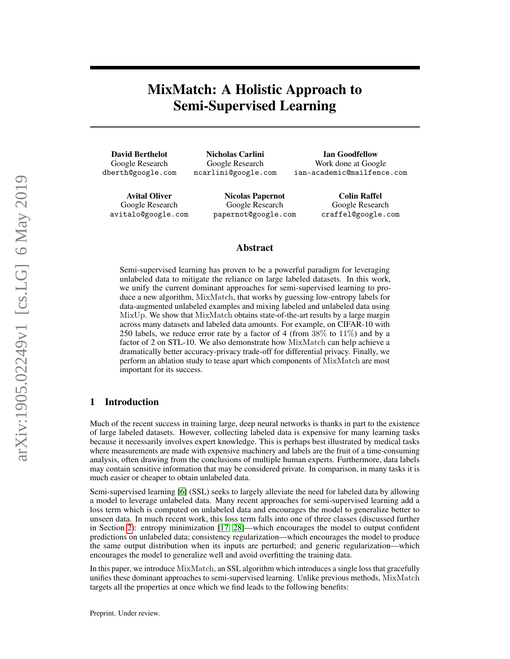# <span id="page-0-0"></span>MixMatch: A Holistic Approach to Semi-Supervised Learning

David Berthelot Google Research dberth@google.com

Nicholas Carlini Google Research ncarlini@google.com

Ian Goodfellow Work done at Google ian-academic@mailfence.com

Avital Oliver Google Research avitalo@google.com

Nicolas Papernot Google Research papernot@google.com

Colin Raffel Google Research craffel@google.com

### Abstract

Semi-supervised learning has proven to be a powerful paradigm for leveraging unlabeled data to mitigate the reliance on large labeled datasets. In this work, we unify the current dominant approaches for semi-supervised learning to produce a new algorithm, MixMatch, that works by guessing low-entropy labels for data-augmented unlabeled examples and mixing labeled and unlabeled data using MixUp. We show that MixMatch obtains state-of-the-art results by a large margin across many datasets and labeled data amounts. For example, on CIFAR-10 with 250 labels, we reduce error rate by a factor of 4 (from 38% to 11%) and by a factor of 2 on STL-10. We also demonstrate how MixMatch can help achieve a dramatically better accuracy-privacy trade-off for differential privacy. Finally, we perform an ablation study to tease apart which components of MixMatch are most important for its success.

### 1 Introduction

Much of the recent success in training large, deep neural networks is thanks in part to the existence of large labeled datasets. However, collecting labeled data is expensive for many learning tasks because it necessarily involves expert knowledge. This is perhaps best illustrated by medical tasks where measurements are made with expensive machinery and labels are the fruit of a time-consuming analysis, often drawing from the conclusions of multiple human experts. Furthermore, data labels may contain sensitive information that may be considered private. In comparison, in many tasks it is much easier or cheaper to obtain unlabeled data.

Semi-supervised learning [\[6\]](#page-9-0) (SSL) seeks to largely alleviate the need for labeled data by allowing a model to leverage unlabeled data. Many recent approaches for semi-supervised learning add a loss term which is computed on unlabeled data and encourages the model to generalize better to unseen data. In much recent work, this loss term falls into one of three classes (discussed further in Section [2\)](#page-1-0): entropy minimization [\[17,](#page-9-1) [28\]](#page-10-0)—which encourages the model to output confident predictions on unlabeled data; consistency regularization—which encourages the model to produce the same output distribution when its inputs are perturbed; and generic regularization—which encourages the model to generalize well and avoid overfitting the training data.

In this paper, we introduce MixMatch, an SSL algorithm which introduces a single loss that gracefully unifies these dominant approaches to semi-supervised learning. Unlike previous methods, MixMatch targets all the properties at once which we find leads to the following benefits: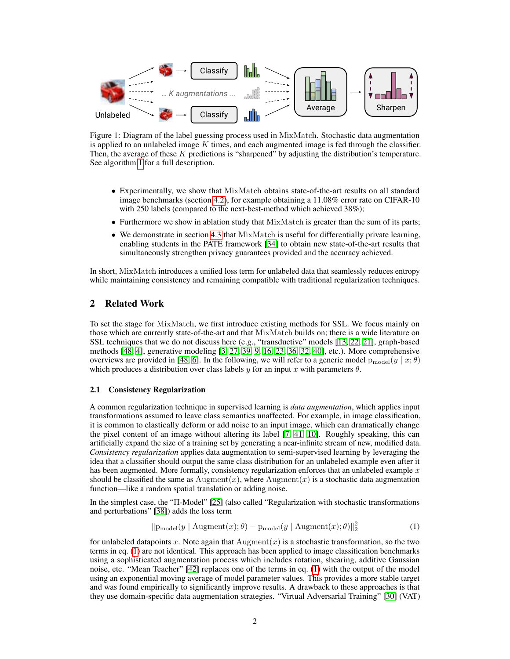<span id="page-1-2"></span>

Figure 1: Diagram of the label guessing process used in MixMatch. Stochastic data augmentation is applied to an unlabeled image  $K$  times, and each augmented image is fed through the classifier. Then, the average of these K predictions is "sharpened" by adjusting the distribution's temperature. See algorithm [1](#page-3-0) for a full description.

- Experimentally, we show that MixMatch obtains state-of-the-art results on all standard image benchmarks (section [4.2\)](#page-5-0), for example obtaining a 11.08% error rate on CIFAR-10 with 250 labels (compared to the next-best-method which achieved 38%);
- Furthermore we show in ablation study that MixMatch is greater than the sum of its parts;
- We demonstrate in section [4.3](#page-8-0) that MixMatch is useful for differentially private learning, enabling students in the PATE framework [\[34\]](#page-10-1) to obtain new state-of-the-art results that simultaneously strengthen privacy guarantees provided and the accuracy achieved.

In short, MixMatch introduces a unified loss term for unlabeled data that seamlessly reduces entropy while maintaining consistency and remaining compatible with traditional regularization techniques.

### <span id="page-1-0"></span>2 Related Work

To set the stage for MixMatch, we first introduce existing methods for SSL. We focus mainly on those which are currently state-of-the-art and that MixMatch builds on; there is a wide literature on SSL techniques that we do not discuss here (e.g., "transductive" models [\[13,](#page-9-2) [22,](#page-10-2) [21\]](#page-10-3), graph-based methods [\[48,](#page-11-0) [4\]](#page-9-3), generative modeling [\[3,](#page-9-4) [27,](#page-10-4) [39,](#page-11-1) [9,](#page-9-5) [16,](#page-9-6) [23,](#page-10-5) [36,](#page-10-6) [32,](#page-10-7) [40\]](#page-11-2), etc.). More comprehensive overviews are provided in [\[48,](#page-11-0) [6\]](#page-9-0). In the following, we will refer to a generic model  $p_{model}(y | x; \theta)$ which produces a distribution over class labels  $y$  for an input x with parameters  $\theta$ .

#### <span id="page-1-3"></span>2.1 Consistency Regularization

A common regularization technique in supervised learning is *data augmentation*, which applies input transformations assumed to leave class semantics unaffected. For example, in image classification, it is common to elastically deform or add noise to an input image, which can dramatically change the pixel content of an image without altering its label [\[7,](#page-9-7) [41,](#page-11-3) [10\]](#page-9-8). Roughly speaking, this can artificially expand the size of a training set by generating a near-infinite stream of new, modified data. *Consistency regularization* applies data augmentation to semi-supervised learning by leveraging the idea that a classifier should output the same class distribution for an unlabeled example even after it has been augmented. More formally, consistency regularization enforces that an unlabeled example  $x$ should be classified the same as  $\text{Augment}(x)$ , where  $\text{Augment}(x)$  is a stochastic data augmentation function—like a random spatial translation or adding noise.

In the simplest case, the "Π-Model" [\[25\]](#page-10-8) (also called "Regularization with stochastic transformations and perturbations" [\[38\]](#page-11-4)) adds the loss term

<span id="page-1-1"></span>
$$
\|\mathbf{p}_{\text{model}}(y \mid \text{Augment}(x); \theta) - \mathbf{p}_{\text{model}}(y \mid \text{Augment}(x); \theta)\|_{2}^{2}
$$
\n(1)

for unlabeled datapoints x. Note again that  $\text{Augment}(x)$  is a stochastic transformation, so the two terms in eq. [\(1\)](#page-1-1) are not identical. This approach has been applied to image classification benchmarks using a sophisticated augmentation process which includes rotation, shearing, additive Gaussian noise, etc. "Mean Teacher" [\[42\]](#page-11-5) replaces one of the terms in eq. [\(1\)](#page-1-1) with the output of the model using an exponential moving average of model parameter values. This provides a more stable target and was found empirically to significantly improve results. A drawback to these approaches is that they use domain-specific data augmentation strategies. "Virtual Adversarial Training" [\[30\]](#page-10-9) (VAT)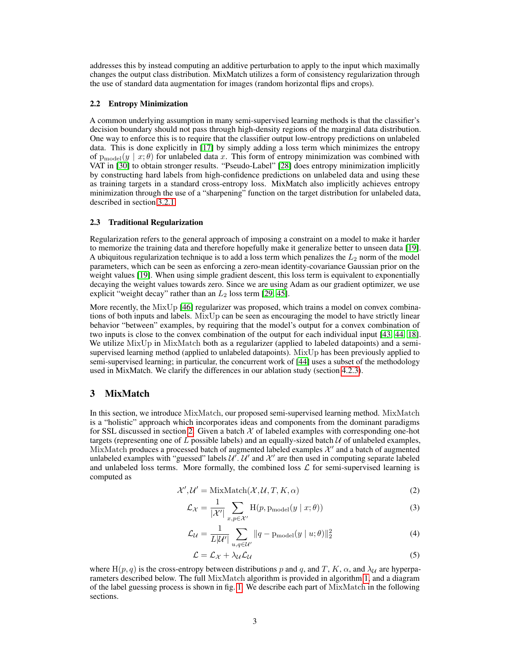addresses this by instead computing an additive perturbation to apply to the input which maximally changes the output class distribution. MixMatch utilizes a form of consistency regularization through the use of standard data augmentation for images (random horizontal flips and crops).

#### <span id="page-2-0"></span>2.2 Entropy Minimization

A common underlying assumption in many semi-supervised learning methods is that the classifier's decision boundary should not pass through high-density regions of the marginal data distribution. One way to enforce this is to require that the classifier output low-entropy predictions on unlabeled data. This is done explicitly in [\[17\]](#page-9-1) by simply adding a loss term which minimizes the entropy of  $p_{\text{model}}(y \mid x; \theta)$  for unlabeled data x. This form of entropy minimization was combined with VAT in [\[30\]](#page-10-9) to obtain stronger results. "Pseudo-Label" [\[28\]](#page-10-0) does entropy minimization implicitly by constructing hard labels from high-confidence predictions on unlabeled data and using these as training targets in a standard cross-entropy loss. MixMatch also implicitly achieves entropy minimization through the use of a "sharpening" function on the target distribution for unlabeled data, described in section [3.2.1.](#page-3-1)

#### 2.3 Traditional Regularization

Regularization refers to the general approach of imposing a constraint on a model to make it harder to memorize the training data and therefore hopefully make it generalize better to unseen data [\[19\]](#page-10-10). A ubiquitous regularization technique is to add a loss term which penalizes the  $L_2$  norm of the model parameters, which can be seen as enforcing a zero-mean identity-covariance Gaussian prior on the weight values [\[19\]](#page-10-10). When using simple gradient descent, this loss term is equivalent to exponentially decaying the weight values towards zero. Since we are using Adam as our gradient optimizer, we use explicit "weight decay" rather than an  $L_2$  loss term [\[29,](#page-10-11) [45\]](#page-11-6).

More recently, the  $MixUp [46]$  $MixUp [46]$  regularizer was proposed, which trains a model on convex combinations of both inputs and labels. MixUp can be seen as encouraging the model to have strictly linear behavior "between" examples, by requiring that the model's output for a convex combination of two inputs is close to the convex combination of the output for each individual input [\[43,](#page-11-8) [44,](#page-11-9) [18\]](#page-9-9). We utilize MixUp in MixMatch both as a regularizer (applied to labeled datapoints) and a semisupervised learning method (applied to unlabeled datapoints). MixUp has been previously applied to semi-supervised learning; in particular, the concurrent work of [\[44\]](#page-11-9) uses a subset of the methodology used in MixMatch. We clarify the differences in our ablation study (section [4.2.3\)](#page-7-0).

### 3 MixMatch

In this section, we introduce MixMatch, our proposed semi-supervised learning method. MixMatch is a "holistic" approach which incorporates ideas and components from the dominant paradigms for SSL discussed in section [2.](#page-1-0) Given a batch  $\mathcal X$  of labeled examples with corresponding one-hot targets (representing one of  $L$  possible labels) and an equally-sized batch  $U$  of unlabeled examples, MixMatch produces a processed batch of augmented labeled examples  $\mathcal{X}'$  and a batch of augmented unlabeled examples with "guessed" labels  $\mathcal{U}'$ .  $\mathcal{U}'$  and  $\mathcal{X}'$  are then used in computing separate labeled and unlabeled loss terms. More formally, the combined loss  $\mathcal L$  for semi-supervised learning is computed as

$$
\mathcal{X}', \mathcal{U}' = \text{MixMatch}(\mathcal{X}, \mathcal{U}, T, K, \alpha)
$$
\n(2)

$$
\mathcal{L}_{\mathcal{X}} = \frac{1}{|\mathcal{X}'|} \sum_{x, p \in \mathcal{X}'} \mathcal{H}(p, \mathbf{p}_{\text{model}}(y \mid x; \theta)) \tag{3}
$$

$$
\mathcal{L}_{\mathcal{U}} = \frac{1}{L|\mathcal{U}'|} \sum_{u,q \in \mathcal{U}'} ||q - \mathbf{p}_{\text{model}}(y \mid u; \theta)||_2^2 \tag{4}
$$

<span id="page-2-3"></span><span id="page-2-2"></span><span id="page-2-1"></span>
$$
\mathcal{L} = \mathcal{L}_{\mathcal{X}} + \lambda_{\mathcal{U}} \mathcal{L}_{\mathcal{U}} \tag{5}
$$

where H(p, q) is the cross-entropy between distributions p and q, and T, K,  $\alpha$ , and  $\lambda_{\mathcal{U}}$  are hyperparameters described below. The full MixMatch algorithm is provided in algorithm [1,](#page-3-0) and a diagram of the label guessing process is shown in fig. [1.](#page-1-2) We describe each part of MixMatch in the following sections.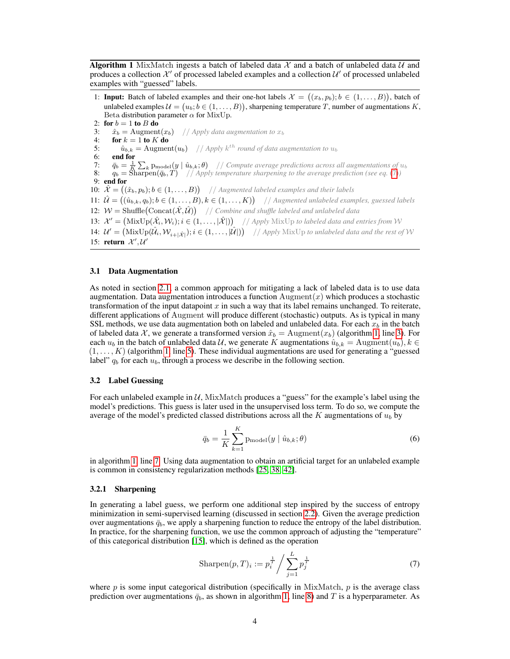<span id="page-3-0"></span>**Algorithm 1** MixMatch ingests a batch of labeled data  $\mathcal{X}$  and a batch of unlabeled data  $\mathcal{U}$  and produces a collection  $\mathcal{X}'$  of processed labeled examples and a collection  $\mathcal{U}'$  of processed unlabeled examples with "guessed" labels.

1: **Input:** Batch of labeled examples and their one-hot labels  $\mathcal{X} = ((x_b, p_b); b \in (1, ..., B))$ , batch of unlabeled examples  $\mathcal{U} = (u_b; b \in (1, \dots, B)),$  sharpening temperature T, number of augmentations K, Beta distribution parameter  $\alpha$  for MixUp.

2: for  $b = 1$  to  $B$  do

- <span id="page-3-3"></span>3:  $\hat{x}_b = \text{Augment}(x_b)$  // *Apply data augmentation to*  $x_b$ <br>4: **for**  $k = 1$  **to**  $K$  **do**
- for  $k = 1$  to  $K$  do
- <span id="page-3-5"></span><span id="page-3-4"></span>5:  $\hat{u}_{b,k} = \text{Augment}(u_b)$  // *Apply*  $k^{th}$  *round of data augmentation to*  $u_b$
- 6: end for
- 7:  $\bar{q}_b = \frac{1}{K} \sum_k \text{p}_{\text{model}}(y \mid \hat{u}_{b,k}; \theta)$  // *Compute average predictions across all augmentations of*  $u_b$
- <span id="page-3-6"></span>8:  $q_b = \text{Sharpen}(\bar{q}_b, T)$  // *Apply temperature sharpening to the average prediction (see eq.* [\(7\)](#page-3-2))
- <span id="page-3-8"></span>9: end for
- 10:  $\hat{\mathcal{X}} = ((\hat{x}_b, p_b); b \in (1, \ldots, B))$  // Augmented labeled examples and their labels

<span id="page-3-10"></span><span id="page-3-9"></span>11:  $\hat{\mathcal{U}} = ((\hat{u}_{b,k}, q_b); b \in (1, \ldots, B), k \in (1, \ldots, K))$  // Augmented unlabeled examples, guessed labels 12:  $W = \text{Shuffle}(\text{Concat}(\hat{X}, \hat{\mathcal{U}}))$  // *Combine and shuffle labeled and unlabeled data* 

- <span id="page-3-11"></span>13:  $\mathcal{X}' = (\text{MixUp}(\hat{\mathcal{X}}_i, \mathcal{W}_i); i \in (1, \ldots, |\hat{\mathcal{X}}|))$  // Apply MixUp to labeled data and entries from W
- <span id="page-3-12"></span>14:  $\mathcal{U}' = (\text{MixUp}(\hat{\mathcal{U}}_i, \mathcal{W}_{i+|\hat{\mathcal{X}}|}); i \in (1, \ldots, |\hat{\mathcal{U}}|))$  // *Apply* MixUp to unlabeled data and the rest of W 15: return  $\mathcal{X}', \mathcal{U}'$

#### 3.1 Data Augmentation

As noted in section [2.1,](#page-1-3) a common approach for mitigating a lack of labeled data is to use data augmentation. Data augmentation introduces a function  $\text{Augment}(x)$  which produces a stochastic transformation of the input datapoint  $x$  in such a way that its label remains unchanged. To reiterate, different applications of Augment will produce different (stochastic) outputs. As is typical in many SSL methods, we use data augmentation both on labeled and unlabeled data. For each  $x_b$  in the batch of labeled data X, we generate a transformed version  $\hat{x}_b = \text{Augment}(x_b)$  (algorithm [1,](#page-3-0) line [3\)](#page-3-3). For each  $u_b$  in the batch of unlabeled data U, we generate K augmentations  $\hat{u}_{b,k} = \text{Augment}(u_b), k \in$  $(1, \ldots, K)$  (algorithm [1,](#page-3-0) line [5\)](#page-3-4). These individual augmentations are used for generating a "guessed" label"  $q_b$  for each  $u_b$ , through a process we describe in the following section.

#### <span id="page-3-7"></span>3.2 Label Guessing

For each unlabeled example in  $U$ , MixMatch produces a "guess" for the example's label using the model's predictions. This guess is later used in the unsupervised loss term. To do so, we compute the average of the model's predicted classed distributions across all the  $K$  augmentations of  $u_b$  by

$$
\bar{q}_b = \frac{1}{K} \sum_{k=1}^{K} \mathbf{p}_{\text{model}}(y \mid \hat{u}_{b,k}; \theta)
$$
\n(6)

in algorithm [1,](#page-3-0) line [7.](#page-3-5) Using data augmentation to obtain an artificial target for an unlabeled example is common in consistency regularization methods [\[25,](#page-10-8) [38,](#page-11-4) [42\]](#page-11-5).

#### <span id="page-3-1"></span>3.2.1 Sharpening

In generating a label guess, we perform one additional step inspired by the success of entropy minimization in semi-supervised learning (discussed in section [2.2\)](#page-2-0). Given the average prediction over augmentations  $\bar{q}_b$ , we apply a sharpening function to reduce the entropy of the label distribution. In practice, for the sharpening function, we use the common approach of adjusting the "temperature" of this categorical distribution [\[15\]](#page-9-10), which is defined as the operation

<span id="page-3-2"></span>
$$
Sharpen(p, T)_i := p_i^{\frac{1}{T}} / \sum_{j=1}^{L} p_j^{\frac{1}{T}}
$$
 (7)

where  $p$  is some input categorical distribution (specifically in MixMatch,  $p$  is the average class prediction over augmentations  $\bar{q}_b$ , as shown in algorithm [1,](#page-3-0) line [8\)](#page-3-6) and T is a hyperparameter. As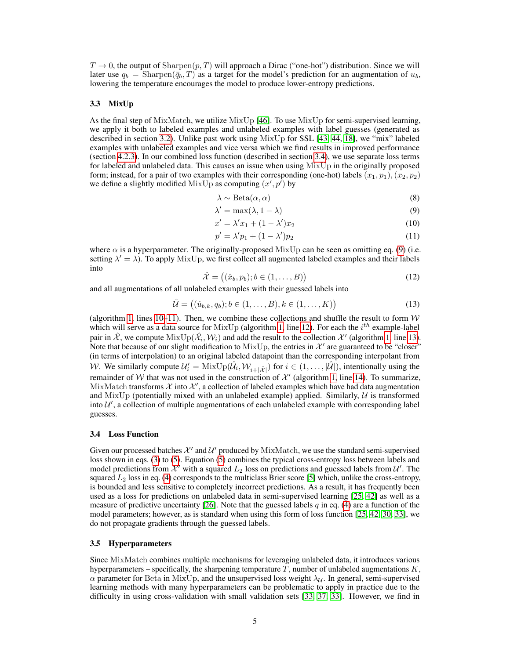$T \to 0$ , the output of Sharpen $(p, T)$  will approach a Dirac ("one-hot") distribution. Since we will later use  $q_b$  = Sharpen( $\bar{q}_b$ , T) as a target for the model's prediction for an augmentation of  $u_b$ , lowering the temperature encourages the model to produce lower-entropy predictions.

#### 3.3 MixUp

As the final step of MixMatch, we utilize  $MixUp [46]$  $MixUp [46]$ . To use  $MixUp$  for semi-supervised learning, we apply it both to labeled examples and unlabeled examples with label guesses (generated as described in section [3.2\)](#page-3-7). Unlike past work using MixUp for SSL [\[43,](#page-11-8) [44,](#page-11-9) [18\]](#page-9-9), we "mix" labeled examples with unlabeled examples and vice versa which we find results in improved performance (section [4.2.3\)](#page-7-0). In our combined loss function (described in section [3.4\)](#page-4-0), we use separate loss terms for labeled and unlabeled data. This causes an issue when using MixUp in the originally proposed form; instead, for a pair of two examples with their corresponding (one-hot) labels  $(x_1, p_1), (x_2, p_2)$ we define a slightly modified MixUp as computing  $(x', p')$  by

<span id="page-4-1"></span>
$$
\lambda \sim \text{Beta}(\alpha, \alpha) \tag{8}
$$

$$
\lambda' = \max(\lambda, 1 - \lambda) \tag{9}
$$

$$
x' = \lambda' x_1 + (1 - \lambda') x_2 \tag{10}
$$

$$
p' = \lambda' p_1 + (1 - \lambda') p_2 \tag{11}
$$

where  $\alpha$  is a hyperparameter. The originally-proposed MixUp can be seen as omitting eq. [\(9\)](#page-4-1) (i.e. setting  $\lambda' = \lambda$ ). To apply MixUp, we first collect all augmented labeled examples and their labels into

$$
\hat{\mathcal{X}} = ((\hat{x}_b, p_b); b \in (1, \dots, B))
$$
\n<sup>(12)</sup>

and all augmentations of all unlabeled examples with their guessed labels into

$$
\hat{\mathcal{U}} = ((\hat{u}_{b,k}, q_b); b \in (1, ..., B), k \in (1, ..., K))
$$
\n(13)

(algorithm [1,](#page-3-0) lines [10](#page-3-8)[–11\)](#page-3-9). Then, we combine these collections and shuffle the result to form  $W$ which will serve as a data source for MixUp (algorithm [1,](#page-3-0) line [12\)](#page-3-10). For each the  $i^{th}$  example-label pair in  $\hat{X}$ , we compute  $MixUp(\hat{\mathcal{X}}_i, \mathcal{W}_i)$  and add the result to the collection  $\mathcal{X}'$  (algorithm [1,](#page-3-0) line [13\)](#page-3-11). Note that because of our slight modification to MixUp, the entries in  $\mathcal{X}'$  are guaranteed to be "closer" (in terms of interpolation) to an original labeled datapoint than the corresponding interpolant from W. We similarly compute  $\mathcal{U}'_i = \text{MixUp}(\hat{\mathcal{U}}_i, \mathcal{W}_{i+|\hat{\mathcal{X}}|})$  for  $i \in (1, \ldots, |\hat{\mathcal{U}}|)$ , intentionally using the remainder of W that was not used in the construction of  $\mathcal{X}'$  (algorithm [1,](#page-3-0) line [14\)](#page-3-12). To summarize, MixMatch transforms  $\mathcal X$  into  $\mathcal X'$ , a collection of labeled examples which have had data augmentation and  $MixUp$  (potentially mixed with an unlabeled example) applied. Similarly,  $U$  is transformed into  $\mathcal{U}'$ , a collection of multiple augmentations of each unlabeled example with corresponding label guesses.

#### <span id="page-4-0"></span>3.4 Loss Function

Given our processed batches  $\mathcal{X}'$  and  $\mathcal{U}'$  produced by MixMatch, we use the standard semi-supervised loss shown in eqs. [\(3\)](#page-2-1) to [\(5\)](#page-2-2). Equation [\(5\)](#page-2-2) combines the typical cross-entropy loss between labels and model predictions from  $\mathcal{X}'$  with a squared  $L_2$  loss on predictions and guessed labels from  $\mathcal{U}'$ . The squared  $L_2$  loss in eq. [\(4\)](#page-2-3) corresponds to the multiclass Brier score [\[5\]](#page-9-11) which, unlike the cross-entropy, is bounded and less sensitive to completely incorrect predictions. As a result, it has frequently been used as a loss for predictions on unlabeled data in semi-supervised learning [\[25,](#page-10-8) [42\]](#page-11-5) as well as a measure of predictive uncertainty [\[26\]](#page-10-12). Note that the guessed labels q in eq. [\(4\)](#page-2-3) are a function of the model parameters; however, as is standard when using this form of loss function [\[25,](#page-10-8) [42,](#page-11-5) [30,](#page-10-9) [33\]](#page-10-13), we do not propagate gradients through the guessed labels.

#### 3.5 Hyperparameters

Since MixMatch combines multiple mechanisms for leveraging unlabeled data, it introduces various hyperparameters – specifically, the sharpening temperature  $T$ , number of unlabeled augmentations  $K$ ,  $\alpha$  parameter for Beta in MixUp, and the unsupervised loss weight  $\lambda_{\mathcal{U}}$ . In general, semi-supervised learning methods with many hyperparameters can be problematic to apply in practice due to the difficulty in using cross-validation with small validation sets [\[33,](#page-10-13) [37,](#page-11-10) [33\]](#page-10-13). However, we find in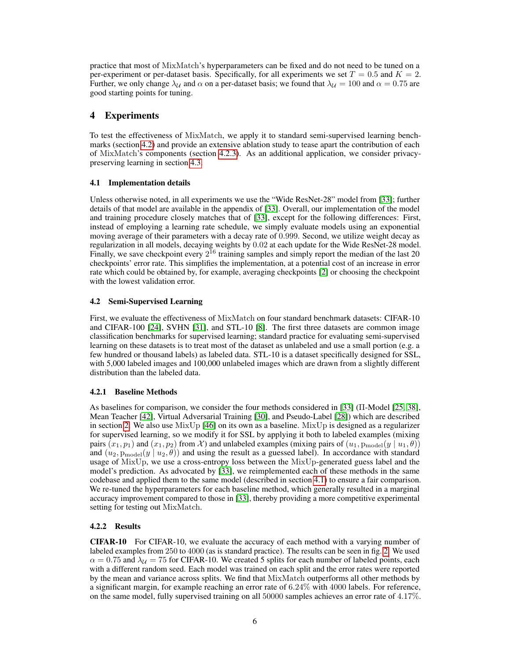practice that most of MixMatch's hyperparameters can be fixed and do not need to be tuned on a per-experiment or per-dataset basis. Specifically, for all experiments we set  $T = 0.5$  and  $K = 2$ . Further, we only change  $\lambda_U$  and  $\alpha$  on a per-dataset basis; we found that  $\lambda_U = 100$  and  $\alpha = 0.75$  are good starting points for tuning.

### 4 Experiments

To test the effectiveness of MixMatch, we apply it to standard semi-supervised learning benchmarks (section [4.2\)](#page-5-0) and provide an extensive ablation study to tease apart the contribution of each of MixMatch's components (section [4.2.3\)](#page-7-0). As an additional application, we consider privacypreserving learning in section [4.3.](#page-8-0)

### <span id="page-5-1"></span>4.1 Implementation details

Unless otherwise noted, in all experiments we use the "Wide ResNet-28" model from [\[33\]](#page-10-13); further details of that model are available in the appendix of [\[33\]](#page-10-13). Overall, our implementation of the model and training procedure closely matches that of [\[33\]](#page-10-13), except for the following differences: First, instead of employing a learning rate schedule, we simply evaluate models using an exponential moving average of their parameters with a decay rate of 0.999. Second, we utilize weight decay as regularization in all models, decaying weights by 0.02 at each update for the Wide ResNet-28 model. Finally, we save checkpoint every  $2^{16}$  training samples and simply report the median of the last 20 checkpoints' error rate. This simplifies the implementation, at a potential cost of an increase in error rate which could be obtained by, for example, averaging checkpoints [\[2\]](#page-9-12) or choosing the checkpoint with the lowest validation error.

### <span id="page-5-0"></span>4.2 Semi-Supervised Learning

First, we evaluate the effectiveness of MixMatch on four standard benchmark datasets: CIFAR-10 and CIFAR-100 [\[24\]](#page-10-14), SVHN [\[31\]](#page-10-15), and STL-10 [\[8\]](#page-9-13). The first three datasets are common image classification benchmarks for supervised learning; standard practice for evaluating semi-supervised learning on these datasets is to treat most of the dataset as unlabeled and use a small portion (e.g. a few hundred or thousand labels) as labeled data. STL-10 is a dataset specifically designed for SSL, with 5,000 labeled images and 100,000 unlabeled images which are drawn from a slightly different distribution than the labeled data.

### 4.2.1 Baseline Methods

As baselines for comparison, we consider the four methods considered in [\[33\]](#page-10-13) (Π-Model [\[25,](#page-10-8) [38\]](#page-11-4), Mean Teacher [\[42\]](#page-11-5), Virtual Adversarial Training [\[30\]](#page-10-9), and Pseudo-Label [\[28\]](#page-10-0)) which are described in section [2.](#page-1-0) We also use MixUp [\[46\]](#page-11-7) on its own as a baseline. MixUp is designed as a regularizer for supervised learning, so we modify it for SSL by applying it both to labeled examples (mixing pairs  $(x_1, p_1)$  and  $(x_1, p_2)$  from X) and unlabeled examples (mixing pairs of  $(u_1, p_{\text{model}}(y | u_1, \theta))$ and  $(u_2, p_{\text{model}}(y \mid u_2, \theta))$  and using the result as a guessed label). In accordance with standard usage of MixUp, we use a cross-entropy loss between the MixUp-generated guess label and the model's prediction. As advocated by [\[33\]](#page-10-13), we reimplemented each of these methods in the same codebase and applied them to the same model (described in section [4.1\)](#page-5-1) to ensure a fair comparison. We re-tuned the hyperparameters for each baseline method, which generally resulted in a marginal accuracy improvement compared to those in [\[33\]](#page-10-13), thereby providing a more competitive experimental setting for testing out MixMatch.

### 4.2.2 Results

CIFAR-10 For CIFAR-10, we evaluate the accuracy of each method with a varying number of labeled examples from 250 to 4000 (as is standard practice). The results can be seen in fig. [2.](#page-6-0) We used  $\alpha = 0.75$  and  $\lambda_{\mathcal{U}} = 75$  for CIFAR-10. We created 5 splits for each number of labeled points, each with a different random seed. Each model was trained on each split and the error rates were reported by the mean and variance across splits. We find that MixMatch outperforms all other methods by a significant margin, for example reaching an error rate of 6.24% with 4000 labels. For reference, on the same model, fully supervised training on all 50000 samples achieves an error rate of 4.17%.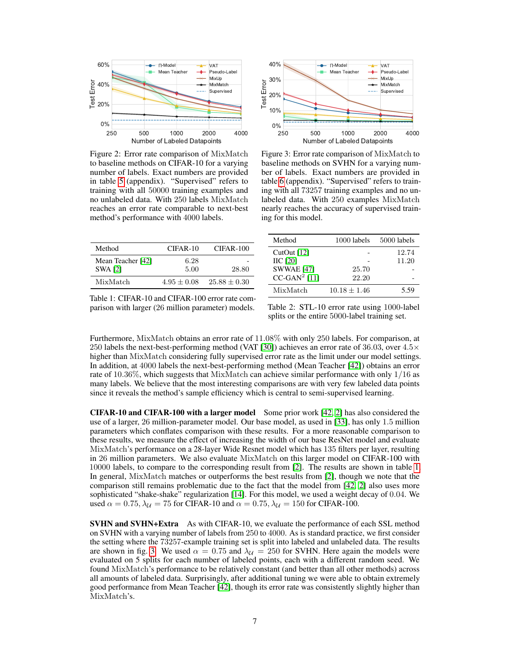<span id="page-6-0"></span>

Figure 2: Error rate comparison of MixMatch to baseline methods on CIFAR-10 for a varying number of labels. Exact numbers are provided in table [5](#page-13-0) (appendix). "Supervised" refers to training with all 50000 training examples and no unlabeled data. With 250 labels MixMatch reaches an error rate comparable to next-best method's performance with 4000 labels.



Figure 3: Error rate comparison of MixMatch to baseline methods on SVHN for a varying number of labels. Exact numbers are provided in table [6](#page-13-1) (appendix). "Supervised" refers to training with all 73257 training examples and no unlabeled data. With 250 examples MixMatch nearly reaches the accuracy of supervised training for this model.

<span id="page-6-1"></span>

| Method                              | CIFAR-10      | CIFAR-100        |
|-------------------------------------|---------------|------------------|
| Mean Teacher [42]<br><b>SWA [2]</b> | 6.28<br>5.00  | 28.80            |
| MixMatch                            | $4.95 + 0.08$ | $25.88 \pm 0.30$ |

| Method            | 1000 labels    | 5000 labels |
|-------------------|----------------|-------------|
| CutOut $[12]$     |                | 12.74       |
| <b>IIC</b> [20]   |                | 11.20       |
| <b>SWWAE</b> [47] | 25.70          |             |
| $CC-GAN2$ [11]    | 22.20          |             |
| MixMatch          | $10.18 + 1.46$ | 5.59        |

Table 1: CIFAR-10 and CIFAR-100 error rate comparison with larger (26 million parameter) models.

Table 2: STL-10 error rate using 1000-label splits or the entire 5000-label training set.

Furthermore, MixMatch obtains an error rate of 11.08% with only 250 labels. For comparison, at 250 labels the next-best-performing method (VAT [\[30\]](#page-10-9)) achieves an error rate of 36.03, over 4.5× higher than MixMatch considering fully supervised error rate as the limit under our model settings. In addition, at 4000 labels the next-best-performing method (Mean Teacher [\[42\]](#page-11-5)) obtains an error rate of 10.36%, which suggests that MixMatch can achieve similar performance with only 1/16 as many labels. We believe that the most interesting comparisons are with very few labeled data points since it reveals the method's sample efficiency which is central to semi-supervised learning.

CIFAR-10 and CIFAR-100 with a larger model Some prior work [\[42,](#page-11-5) [2\]](#page-9-12) has also considered the use of a larger, 26 million-parameter model. Our base model, as used in [\[33\]](#page-10-13), has only 1.5 million parameters which conflates comparison with these results. For a more reasonable comparison to these results, we measure the effect of increasing the width of our base ResNet model and evaluate MixMatch's performance on a 28-layer Wide Resnet model which has 135 filters per layer, resulting in 26 million parameters. We also evaluate MixMatch on this larger model on CIFAR-100 with 10000 labels, to compare to the corresponding result from [\[2\]](#page-9-12). The results are shown in table [1.](#page-6-1) In general, MixMatch matches or outperforms the best results from [\[2\]](#page-9-12), though we note that the comparison still remains problematic due to the fact that the model from [\[42,](#page-11-5) [2\]](#page-9-12) also uses more sophisticated "shake-shake" regularization [\[14\]](#page-9-16). For this model, we used a weight decay of 0.04. We used  $\alpha = 0.75$ ,  $\lambda_{\mathcal{U}} = 75$  for CIFAR-10 and  $\alpha = 0.75$ ,  $\lambda_{\mathcal{U}} = 150$  for CIFAR-100.

SVHN and SVHN+Extra As with CIFAR-10, we evaluate the performance of each SSL method on SVHN with a varying number of labels from 250 to 4000. As is standard practice, we first consider the setting where the 73257-example training set is split into labeled and unlabeled data. The results are shown in fig. [3.](#page-6-0) We used  $\alpha = 0.75$  and  $\lambda_{\mathcal{U}} = 250$  for SVHN. Here again the models were evaluated on 5 splits for each number of labeled points, each with a different random seed. We found MixMatch's performance to be relatively constant (and better than all other methods) across all amounts of labeled data. Surprisingly, after additional tuning we were able to obtain extremely good performance from Mean Teacher [\[42\]](#page-11-5), though its error rate was consistently slightly higher than MixMatch's.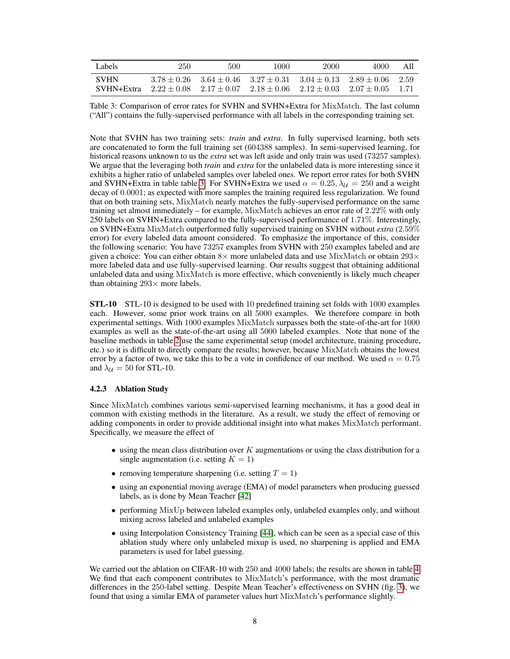<span id="page-7-1"></span>

| Labels                    | 250           | 500                                                                                                          | 1000 | 2000 | 4000                                | All             |
|---------------------------|---------------|--------------------------------------------------------------------------------------------------------------|------|------|-------------------------------------|-----------------|
| <b>SVHN</b><br>SVHN+Extra | $3.78 + 0.26$ | $3.64 + 0.46$ $3.27 + 0.31$ $3.04 + 0.13$<br>$2.22 \pm 0.08$ $2.17 \pm 0.07$ $2.18 \pm 0.06$ $2.12 \pm 0.03$ |      |      | $2.89 \pm 0.06$<br>$-2.07 \pm 0.05$ | - 2.59<br>- 171 |

Table 3: Comparison of error rates for SVHN and SVHN+Extra for MixMatch. The last column ("All") contains the fully-supervised performance with all labels in the corresponding training set.

Note that SVHN has two training sets: *train* and *extra*. In fully supervised learning, both sets are concatenated to form the full training set (604388 samples). In semi-supervised learning, for historical reasons unknown to us the *extra* set was left aside and only train was used (73257 samples). We argue that the leveraging both *train* and *extra* for the unlabeled data is more interesting since it exhibits a higher ratio of unlabeled samples over labeled ones. We report error rates for both SVHN and SVHN+Extra in table table [3.](#page-7-1) For SVHN+Extra we used  $\alpha = 0.25$ ,  $\lambda_{\mathcal{U}} = 250$  and a weight decay of 0.0001; as expected with more samples the training required less regularization. We found that on both training sets, MixMatch nearly matches the fully-supervised performance on the same training set almost immediately – for example, MixMatch achieves an error rate of 2.22% with only 250 labels on SVHN+Extra compared to the fully-supervised performance of 1.71%. Interestingly, on SVHN+Extra MixMatch outperformed fully supervised training on SVHN without *extra* (2.59% error) for every labeled data amount considered. To emphasize the importance of this, consider the following scenario: You have 73257 examples from SVHN with 250 examples labeled and are given a choice: You can either obtain  $8\times$  more unlabeled data and use MixMatch or obtain 293 $\times$ more labeled data and use fully-supervised learning. Our results suggest that obtaining additional unlabeled data and using MixMatch is more effective, which conveniently is likely much cheaper than obtaining  $293 \times$  more labels.

STL-10 STL-10 is designed to be used with 10 predefined training set folds with 1000 examples each. However, some prior work trains on all 5000 examples. We therefore compare in both experimental settings. With 1000 examples MixMatch surpasses both the state-of-the-art for 1000 examples as well as the state-of-the-art using all 5000 labeled examples. Note that none of the baseline methods in table [2](#page-6-1) use the same experimental setup (model architecture, training procedure, etc.) so it is difficult to directly compare the results; however, because MixMatch obtains the lowest error by a factor of two, we take this to be a vote in confidence of our method. We used  $\alpha = 0.75$ and  $\lambda_{\mathcal{U}} = 50$  for STL-10.

#### <span id="page-7-0"></span>4.2.3 Ablation Study

Since MixMatch combines various semi-supervised learning mechanisms, it has a good deal in common with existing methods in the literature. As a result, we study the effect of removing or adding components in order to provide additional insight into what makes MixMatch performant. Specifically, we measure the effect of

- using the mean class distribution over  $K$  augmentations or using the class distribution for a single augmentation (i.e. setting  $K = 1$ )
- removing temperature sharpening (i.e. setting  $T = 1$ )
- using an exponential moving average (EMA) of model parameters when producing guessed labels, as is done by Mean Teacher [\[42\]](#page-11-5)
- performing MixUp between labeled examples only, unlabeled examples only, and without mixing across labeled and unlabeled examples
- using Interpolation Consistency Training [\[44\]](#page-11-9), which can be seen as a special case of this ablation study where only unlabeled mixup is used, no sharpening is applied and EMA parameters is used for label guessing.

We carried out the ablation on CIFAR-10 with 250 and 4000 labels; the results are shown in table [4.](#page-8-1) We find that each component contributes to MixMatch's performance, with the most dramatic differences in the 250-label setting. Despite Mean Teacher's effectiveness on SVHN (fig. [3\)](#page-6-0), we found that using a similar EMA of parameter values hurt MixMatch's performance slightly.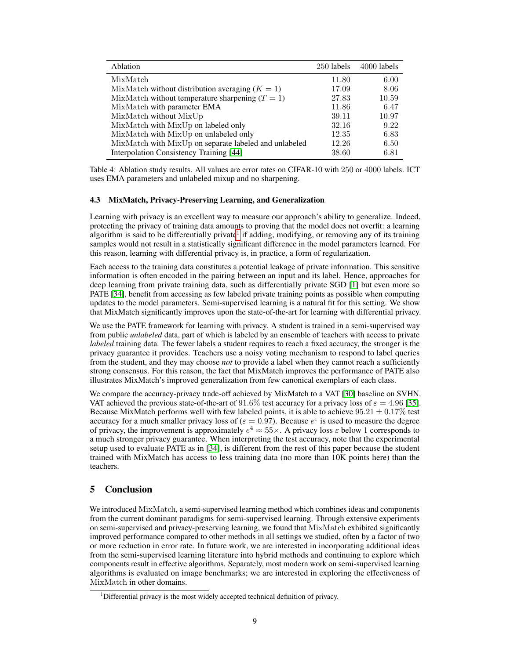<span id="page-8-1"></span>

| Ablation                                              | 250 labels | 4000 labels |
|-------------------------------------------------------|------------|-------------|
| MixMatch                                              | 11.80      | 6.00        |
| MixMatch without distribution averaging $(K = 1)$     | 17.09      | 8.06        |
| MixMatch without temperature sharpening $(T = 1)$     | 27.83      | 10.59       |
| MixMatch with parameter EMA                           | 11.86      | 6.47        |
| MixMatch without MixUp                                | 39.11      | 10.97       |
| MixMatch with MixUp on labeled only                   | 32.16      | 9.22        |
| MixMatch with MixUp on unlabeled only                 | 12.35      | 6.83        |
| MixMatch with MixUp on separate labeled and unlabeled | 12.26      | 6.50        |
| Interpolation Consistency Training [44]               | 38.60      | 6.81        |

Table 4: Ablation study results. All values are error rates on CIFAR-10 with 250 or 4000 labels. ICT uses EMA parameters and unlabeled mixup and no sharpening.

#### <span id="page-8-0"></span>4.3 MixMatch, Privacy-Preserving Learning, and Generalization

Learning with privacy is an excellent way to measure our approach's ability to generalize. Indeed, protecting the privacy of training data amounts to proving that the model does not overfit: a learning algorithm is said to be differentially private<sup>[1](#page-0-0)</sup> if adding, modifying, or removing any of its training samples would not result in a statistically significant difference in the model parameters learned. For this reason, learning with differential privacy is, in practice, a form of regularization.

Each access to the training data constitutes a potential leakage of private information. This sensitive information is often encoded in the pairing between an input and its label. Hence, approaches for deep learning from private training data, such as differentially private SGD [\[1\]](#page-9-17) but even more so PATE [\[34\]](#page-10-1), benefit from accessing as few labeled private training points as possible when computing updates to the model parameters. Semi-supervised learning is a natural fit for this setting. We show that MixMatch significantly improves upon the state-of-the-art for learning with differential privacy.

We use the PATE framework for learning with privacy. A student is trained in a semi-supervised way from public *unlabeled* data, part of which is labeled by an ensemble of teachers with access to private *labeled* training data. The fewer labels a student requires to reach a fixed accuracy, the stronger is the privacy guarantee it provides. Teachers use a noisy voting mechanism to respond to label queries from the student, and they may choose *not* to provide a label when they cannot reach a sufficiently strong consensus. For this reason, the fact that MixMatch improves the performance of PATE also illustrates MixMatch's improved generalization from few canonical exemplars of each class.

We compare the accuracy-privacy trade-off achieved by MixMatch to a VAT [\[30\]](#page-10-9) baseline on SVHN. VAT achieved the previous state-of-the-art of 91.6% test accuracy for a privacy loss of  $\varepsilon = 4.96$  [\[35\]](#page-10-17). Because MixMatch performs well with few labeled points, it is able to achieve  $95.21 \pm 0.17\%$  test accuracy for a much smaller privacy loss of ( $\varepsilon = 0.97$ ). Because  $e^{\varepsilon}$  is used to measure the degree of privacy, the improvement is approximately  $e^4 \approx 55 \times$ . A privacy loss  $\varepsilon$  below 1 corresponds to a much stronger privacy guarantee. When interpreting the test accuracy, note that the experimental setup used to evaluate PATE as in [\[34\]](#page-10-1), is different from the rest of this paper because the student trained with MixMatch has access to less training data (no more than 10K points here) than the teachers.

### 5 Conclusion

We introduced MixMatch, a semi-supervised learning method which combines ideas and components from the current dominant paradigms for semi-supervised learning. Through extensive experiments on semi-supervised and privacy-preserving learning, we found that MixMatch exhibited significantly improved performance compared to other methods in all settings we studied, often by a factor of two or more reduction in error rate. In future work, we are interested in incorporating additional ideas from the semi-supervised learning literature into hybrid methods and continuing to explore which components result in effective algorithms. Separately, most modern work on semi-supervised learning algorithms is evaluated on image benchmarks; we are interested in exploring the effectiveness of MixMatch in other domains.

<sup>&</sup>lt;sup>1</sup>Differential privacy is the most widely accepted technical definition of privacy.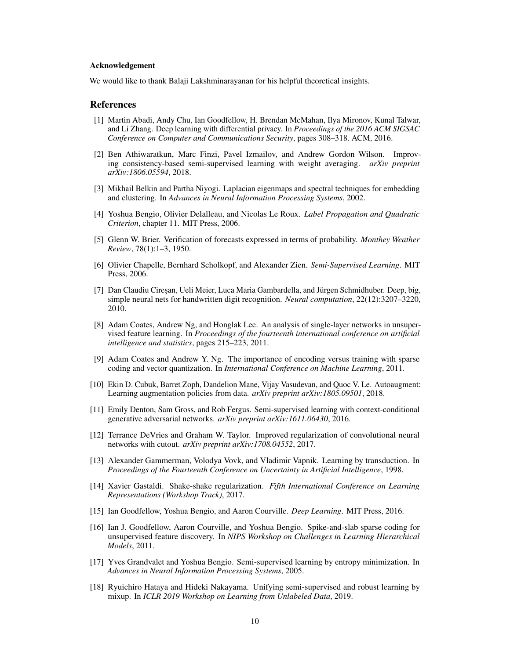#### Acknowledgement

We would like to thank Balaji Lakshminarayanan for his helpful theoretical insights.

#### References

- <span id="page-9-17"></span>[1] Martin Abadi, Andy Chu, Ian Goodfellow, H. Brendan McMahan, Ilya Mironov, Kunal Talwar, and Li Zhang. Deep learning with differential privacy. In *Proceedings of the 2016 ACM SIGSAC Conference on Computer and Communications Security*, pages 308–318. ACM, 2016.
- <span id="page-9-12"></span>[2] Ben Athiwaratkun, Marc Finzi, Pavel Izmailov, and Andrew Gordon Wilson. Improving consistency-based semi-supervised learning with weight averaging. *arXiv preprint arXiv:1806.05594*, 2018.
- <span id="page-9-4"></span>[3] Mikhail Belkin and Partha Niyogi. Laplacian eigenmaps and spectral techniques for embedding and clustering. In *Advances in Neural Information Processing Systems*, 2002.
- <span id="page-9-3"></span>[4] Yoshua Bengio, Olivier Delalleau, and Nicolas Le Roux. *Label Propagation and Quadratic Criterion*, chapter 11. MIT Press, 2006.
- <span id="page-9-11"></span>[5] Glenn W. Brier. Verification of forecasts expressed in terms of probability. *Monthey Weather Review*, 78(1):1–3, 1950.
- <span id="page-9-0"></span>[6] Olivier Chapelle, Bernhard Scholkopf, and Alexander Zien. *Semi-Supervised Learning*. MIT Press, 2006.
- <span id="page-9-7"></span>[7] Dan Claudiu Ciresan, Ueli Meier, Luca Maria Gambardella, and Jürgen Schmidhuber. Deep, big, simple neural nets for handwritten digit recognition. *Neural computation*, 22(12):3207–3220, 2010.
- <span id="page-9-13"></span>[8] Adam Coates, Andrew Ng, and Honglak Lee. An analysis of single-layer networks in unsupervised feature learning. In *Proceedings of the fourteenth international conference on artificial intelligence and statistics*, pages 215–223, 2011.
- <span id="page-9-5"></span>[9] Adam Coates and Andrew Y. Ng. The importance of encoding versus training with sparse coding and vector quantization. In *International Conference on Machine Learning*, 2011.
- <span id="page-9-8"></span>[10] Ekin D. Cubuk, Barret Zoph, Dandelion Mane, Vijay Vasudevan, and Quoc V. Le. Autoaugment: Learning augmentation policies from data. *arXiv preprint arXiv:1805.09501*, 2018.
- <span id="page-9-15"></span>[11] Emily Denton, Sam Gross, and Rob Fergus. Semi-supervised learning with context-conditional generative adversarial networks. *arXiv preprint arXiv:1611.06430*, 2016.
- <span id="page-9-14"></span>[12] Terrance DeVries and Graham W. Taylor. Improved regularization of convolutional neural networks with cutout. *arXiv preprint arXiv:1708.04552*, 2017.
- <span id="page-9-2"></span>[13] Alexander Gammerman, Volodya Vovk, and Vladimir Vapnik. Learning by transduction. In *Proceedings of the Fourteenth Conference on Uncertainty in Artificial Intelligence*, 1998.
- <span id="page-9-16"></span>[14] Xavier Gastaldi. Shake-shake regularization. *Fifth International Conference on Learning Representations (Workshop Track)*, 2017.
- <span id="page-9-10"></span>[15] Ian Goodfellow, Yoshua Bengio, and Aaron Courville. *Deep Learning*. MIT Press, 2016.
- <span id="page-9-6"></span>[16] Ian J. Goodfellow, Aaron Courville, and Yoshua Bengio. Spike-and-slab sparse coding for unsupervised feature discovery. In *NIPS Workshop on Challenges in Learning Hierarchical Models*, 2011.
- <span id="page-9-1"></span>[17] Yves Grandvalet and Yoshua Bengio. Semi-supervised learning by entropy minimization. In *Advances in Neural Information Processing Systems*, 2005.
- <span id="page-9-9"></span>[18] Ryuichiro Hataya and Hideki Nakayama. Unifying semi-supervised and robust learning by mixup. In *ICLR 2019 Workshop on Learning from Unlabeled Data*, 2019.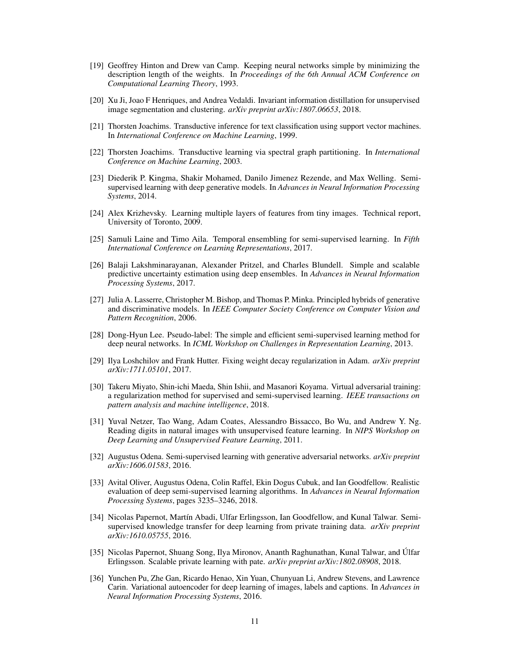- <span id="page-10-10"></span>[19] Geoffrey Hinton and Drew van Camp. Keeping neural networks simple by minimizing the description length of the weights. In *Proceedings of the 6th Annual ACM Conference on Computational Learning Theory*, 1993.
- <span id="page-10-16"></span>[20] Xu Ji, Joao F Henriques, and Andrea Vedaldi. Invariant information distillation for unsupervised image segmentation and clustering. *arXiv preprint arXiv:1807.06653*, 2018.
- <span id="page-10-3"></span>[21] Thorsten Joachims. Transductive inference for text classification using support vector machines. In *International Conference on Machine Learning*, 1999.
- <span id="page-10-2"></span>[22] Thorsten Joachims. Transductive learning via spectral graph partitioning. In *International Conference on Machine Learning*, 2003.
- <span id="page-10-5"></span>[23] Diederik P. Kingma, Shakir Mohamed, Danilo Jimenez Rezende, and Max Welling. Semisupervised learning with deep generative models. In *Advances in Neural Information Processing Systems*, 2014.
- <span id="page-10-14"></span>[24] Alex Krizhevsky. Learning multiple layers of features from tiny images. Technical report, University of Toronto, 2009.
- <span id="page-10-8"></span>[25] Samuli Laine and Timo Aila. Temporal ensembling for semi-supervised learning. In *Fifth International Conference on Learning Representations*, 2017.
- <span id="page-10-12"></span>[26] Balaji Lakshminarayanan, Alexander Pritzel, and Charles Blundell. Simple and scalable predictive uncertainty estimation using deep ensembles. In *Advances in Neural Information Processing Systems*, 2017.
- <span id="page-10-4"></span>[27] Julia A. Lasserre, Christopher M. Bishop, and Thomas P. Minka. Principled hybrids of generative and discriminative models. In *IEEE Computer Society Conference on Computer Vision and Pattern Recognition*, 2006.
- <span id="page-10-0"></span>[28] Dong-Hyun Lee. Pseudo-label: The simple and efficient semi-supervised learning method for deep neural networks. In *ICML Workshop on Challenges in Representation Learning*, 2013.
- <span id="page-10-11"></span>[29] Ilya Loshchilov and Frank Hutter. Fixing weight decay regularization in Adam. *arXiv preprint arXiv:1711.05101*, 2017.
- <span id="page-10-9"></span>[30] Takeru Miyato, Shin-ichi Maeda, Shin Ishii, and Masanori Koyama. Virtual adversarial training: a regularization method for supervised and semi-supervised learning. *IEEE transactions on pattern analysis and machine intelligence*, 2018.
- <span id="page-10-15"></span>[31] Yuval Netzer, Tao Wang, Adam Coates, Alessandro Bissacco, Bo Wu, and Andrew Y. Ng. Reading digits in natural images with unsupervised feature learning. In *NIPS Workshop on Deep Learning and Unsupervised Feature Learning*, 2011.
- <span id="page-10-7"></span>[32] Augustus Odena. Semi-supervised learning with generative adversarial networks. *arXiv preprint arXiv:1606.01583*, 2016.
- <span id="page-10-13"></span>[33] Avital Oliver, Augustus Odena, Colin Raffel, Ekin Dogus Cubuk, and Ian Goodfellow. Realistic evaluation of deep semi-supervised learning algorithms. In *Advances in Neural Information Processing Systems*, pages 3235–3246, 2018.
- <span id="page-10-1"></span>[34] Nicolas Papernot, Martín Abadi, Ulfar Erlingsson, Ian Goodfellow, and Kunal Talwar. Semisupervised knowledge transfer for deep learning from private training data. *arXiv preprint arXiv:1610.05755*, 2016.
- <span id="page-10-17"></span>[35] Nicolas Papernot, Shuang Song, Ilya Mironov, Ananth Raghunathan, Kunal Talwar, and Úlfar Erlingsson. Scalable private learning with pate. *arXiv preprint arXiv:1802.08908*, 2018.
- <span id="page-10-6"></span>[36] Yunchen Pu, Zhe Gan, Ricardo Henao, Xin Yuan, Chunyuan Li, Andrew Stevens, and Lawrence Carin. Variational autoencoder for deep learning of images, labels and captions. In *Advances in Neural Information Processing Systems*, 2016.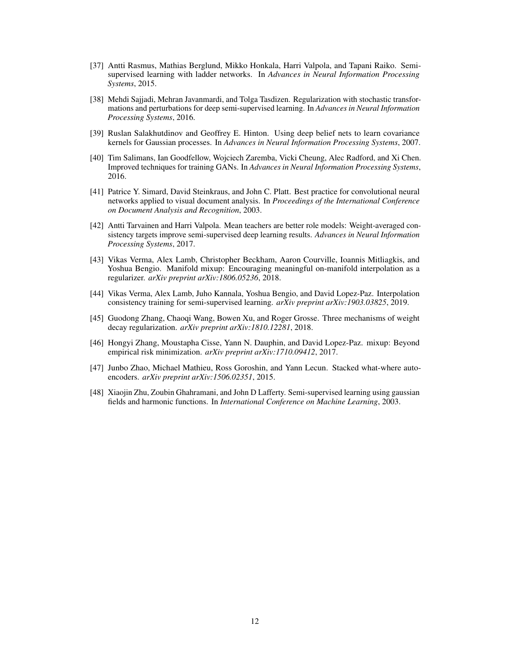- <span id="page-11-10"></span>[37] Antti Rasmus, Mathias Berglund, Mikko Honkala, Harri Valpola, and Tapani Raiko. Semisupervised learning with ladder networks. In *Advances in Neural Information Processing Systems*, 2015.
- <span id="page-11-4"></span>[38] Mehdi Sajjadi, Mehran Javanmardi, and Tolga Tasdizen. Regularization with stochastic transformations and perturbations for deep semi-supervised learning. In *Advances in Neural Information Processing Systems*, 2016.
- <span id="page-11-1"></span>[39] Ruslan Salakhutdinov and Geoffrey E. Hinton. Using deep belief nets to learn covariance kernels for Gaussian processes. In *Advances in Neural Information Processing Systems*, 2007.
- <span id="page-11-2"></span>[40] Tim Salimans, Ian Goodfellow, Wojciech Zaremba, Vicki Cheung, Alec Radford, and Xi Chen. Improved techniques for training GANs. In *Advances in Neural Information Processing Systems*, 2016.
- <span id="page-11-3"></span>[41] Patrice Y. Simard, David Steinkraus, and John C. Platt. Best practice for convolutional neural networks applied to visual document analysis. In *Proceedings of the International Conference on Document Analysis and Recognition*, 2003.
- <span id="page-11-5"></span>[42] Antti Tarvainen and Harri Valpola. Mean teachers are better role models: Weight-averaged consistency targets improve semi-supervised deep learning results. *Advances in Neural Information Processing Systems*, 2017.
- <span id="page-11-8"></span>[43] Vikas Verma, Alex Lamb, Christopher Beckham, Aaron Courville, Ioannis Mitliagkis, and Yoshua Bengio. Manifold mixup: Encouraging meaningful on-manifold interpolation as a regularizer. *arXiv preprint arXiv:1806.05236*, 2018.
- <span id="page-11-9"></span>[44] Vikas Verma, Alex Lamb, Juho Kannala, Yoshua Bengio, and David Lopez-Paz. Interpolation consistency training for semi-supervised learning. *arXiv preprint arXiv:1903.03825*, 2019.
- <span id="page-11-6"></span>[45] Guodong Zhang, Chaoqi Wang, Bowen Xu, and Roger Grosse. Three mechanisms of weight decay regularization. *arXiv preprint arXiv:1810.12281*, 2018.
- <span id="page-11-7"></span>[46] Hongyi Zhang, Moustapha Cisse, Yann N. Dauphin, and David Lopez-Paz. mixup: Beyond empirical risk minimization. *arXiv preprint arXiv:1710.09412*, 2017.
- <span id="page-11-11"></span>[47] Junbo Zhao, Michael Mathieu, Ross Goroshin, and Yann Lecun. Stacked what-where autoencoders. *arXiv preprint arXiv:1506.02351*, 2015.
- <span id="page-11-0"></span>[48] Xiaojin Zhu, Zoubin Ghahramani, and John D Lafferty. Semi-supervised learning using gaussian fields and harmonic functions. In *International Conference on Machine Learning*, 2003.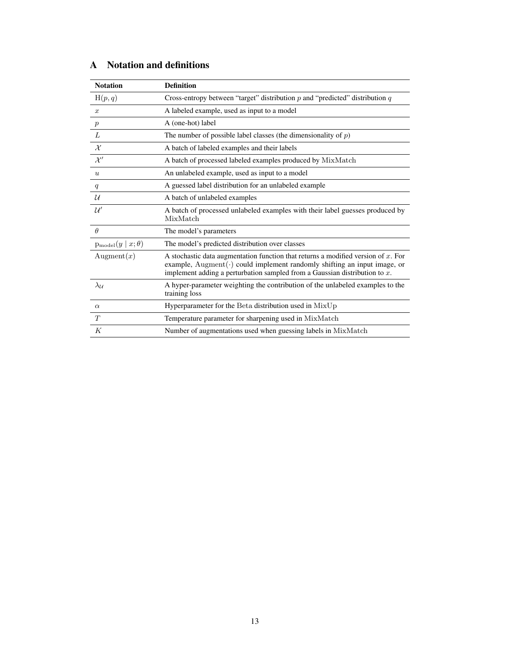| <b>Notation</b>                      | <b>Definition</b>                                                                                                                                                                                                                                              |
|--------------------------------------|----------------------------------------------------------------------------------------------------------------------------------------------------------------------------------------------------------------------------------------------------------------|
| H(p,q)                               | Cross-entropy between "target" distribution $p$ and "predicted" distribution $q$                                                                                                                                                                               |
| $\boldsymbol{x}$                     | A labeled example, used as input to a model                                                                                                                                                                                                                    |
| $\mathcal{p}$                        | A (one-hot) label                                                                                                                                                                                                                                              |
| L                                    | The number of possible label classes (the dimensionality of $p$ )                                                                                                                                                                                              |
| $\mathcal{X}$                        | A batch of labeled examples and their labels                                                                                                                                                                                                                   |
| $\mathcal{X}^{\prime}$               | A batch of processed labeled examples produced by MixMatch                                                                                                                                                                                                     |
| $\boldsymbol{u}$                     | An unlabeled example, used as input to a model                                                                                                                                                                                                                 |
| q                                    | A guessed label distribution for an unlabeled example                                                                                                                                                                                                          |
| $\mathcal{U}$                        | A batch of unlabeled examples                                                                                                                                                                                                                                  |
| $\mathcal{U}'$                       | A batch of processed unlabeled examples with their label guesses produced by<br>MixMatch                                                                                                                                                                       |
| $\theta$                             | The model's parameters                                                                                                                                                                                                                                         |
| $p_{\text{model}}(y \mid x; \theta)$ | The model's predicted distribution over classes                                                                                                                                                                                                                |
| Augment $(x)$                        | A stochastic data augmentation function that returns a modified version of $x$ . For<br>example, $\text{Augment}(\cdot)$ could implement randomly shifting an input image, or<br>implement adding a perturbation sampled from a Gaussian distribution to $x$ . |
| $\lambda_{\mathcal{U}}$              | A hyper-parameter weighting the contribution of the unlabeled examples to the<br>training loss                                                                                                                                                                 |
| $\alpha$                             | Hyperparameter for the Beta distribution used in MixUp                                                                                                                                                                                                         |
| T                                    | Temperature parameter for sharpening used in MixMatch                                                                                                                                                                                                          |
| K                                    | Number of augmentations used when guessing labels in MixMatch                                                                                                                                                                                                  |

# A Notation and definitions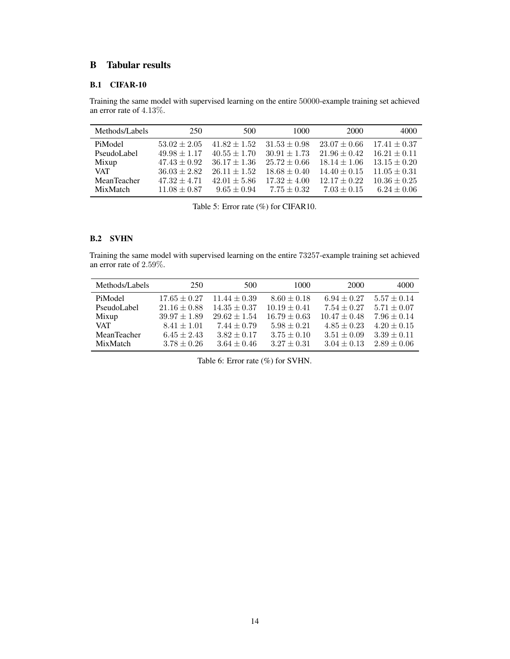## B Tabular results

### B.1 CIFAR-10

Training the same model with supervised learning on the entire 50000-example training set achieved an error rate of 4.13%.

<span id="page-13-0"></span>

| Methods/Labels | 250              | 500              | 1000             | 2000             | 4000             |
|----------------|------------------|------------------|------------------|------------------|------------------|
| PiModel        | $53.02 \pm 2.05$ | $41.82 \pm 1.52$ | $31.53 \pm 0.98$ | $23.07 \pm 0.66$ | $17.41 \pm 0.37$ |
| PseudoLabel    | $49.98 \pm 1.17$ | $40.55 \pm 1.70$ | $30.91 \pm 1.73$ | $21.96 \pm 0.42$ | $16.21 \pm 0.11$ |
| Mixup          | $47.43 \pm 0.92$ | $36.17 \pm 1.36$ | $25.72 \pm 0.66$ | $18.14 \pm 1.06$ | $13.15 \pm 0.20$ |
| <b>VAT</b>     | $36.03 \pm 2.82$ | $26.11 \pm 1.52$ | $18.68 \pm 0.40$ | $14.40 \pm 0.15$ | $11.05 \pm 0.31$ |
| MeanTeacher    | $47.32 \pm 4.71$ | $42.01 \pm 5.86$ | $17.32 + 4.00$   | $12.17 \pm 0.22$ | $10.36 \pm 0.25$ |
| MixMatch       | $11.08 \pm 0.87$ | $9.65 + 0.94$    | $7.75 + 0.32$    | $7.03 + 0.15$    | $6.24 \pm 0.06$  |

Table 5: Error rate (%) for CIFAR10.

### B.2 SVHN

Training the same model with supervised learning on the entire 73257-example training set achieved an error rate of 2.59%.

<span id="page-13-1"></span>

| Methods/Labels | 250              | 500              | 1000             | 2000             | 4000            |
|----------------|------------------|------------------|------------------|------------------|-----------------|
| PiModel        | $17.65 \pm 0.27$ | $11.44 \pm 0.39$ | $8.60 \pm 0.18$  | $6.94 \pm 0.27$  | $5.57 \pm 0.14$ |
| PseudoLabel    | $21.16 \pm 0.88$ | $14.35 \pm 0.37$ | $10.19 \pm 0.41$ | $7.54 \pm 0.27$  | $5.71 \pm 0.07$ |
| Mixup          | $39.97 \pm 1.89$ | $29.62 \pm 1.54$ | $16.79 \pm 0.63$ | $10.47 \pm 0.48$ | $7.96 \pm 0.14$ |
| <b>VAT</b>     | $8.41 \pm 1.01$  | $7.44 \pm 0.79$  | $5.98 \pm 0.21$  | $4.85 \pm 0.23$  | $4.20 \pm 0.15$ |
| MeanTeacher    | $6.45 \pm 2.43$  | $3.82 \pm 0.17$  | $3.75 \pm 0.10$  | $3.51 \pm 0.09$  | $3.39 \pm 0.11$ |
| MixMatch       | $3.78 \pm 0.26$  | $3.64 \pm 0.46$  | $3.27 \pm 0.31$  | $3.04 \pm 0.13$  | $2.89 \pm 0.06$ |

Table 6: Error rate (%) for SVHN.